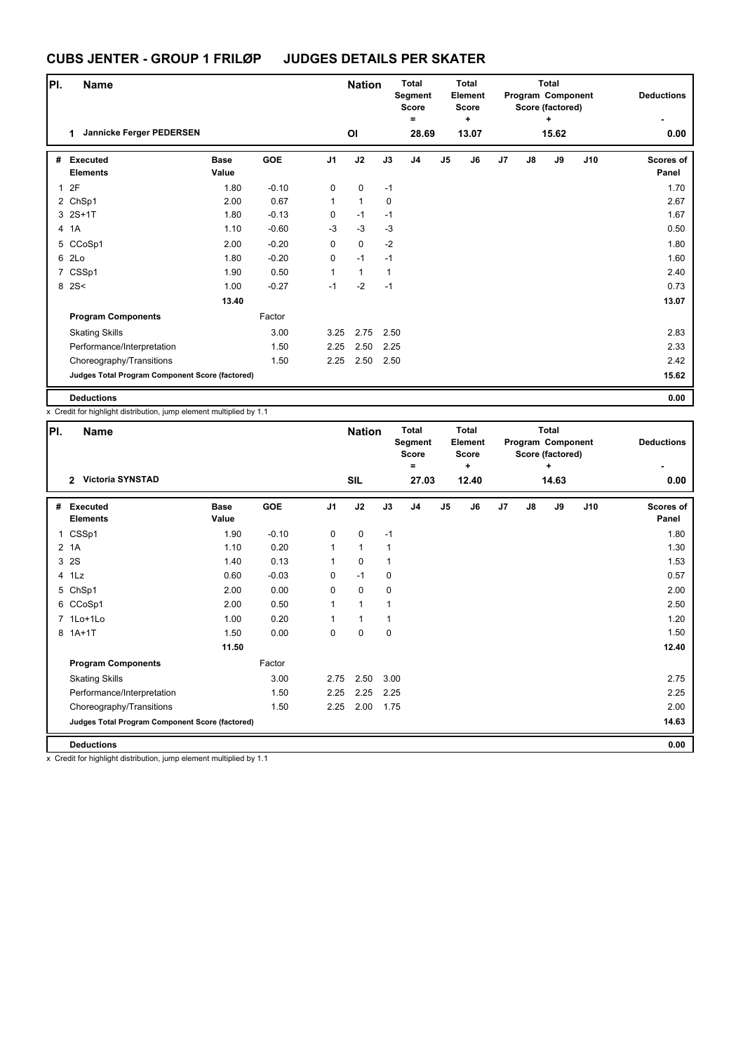| PI. | <b>Name</b>                                     |                      |            |                | <b>Nation</b>  |             | <b>Total</b><br>Segment<br><b>Score</b><br>Ξ |                | <b>Total</b><br><b>Element</b><br><b>Score</b><br>÷ |                |    | <b>Total</b><br>Program Component<br>Score (factored)<br>٠ |     | <b>Deductions</b>         |
|-----|-------------------------------------------------|----------------------|------------|----------------|----------------|-------------|----------------------------------------------|----------------|-----------------------------------------------------|----------------|----|------------------------------------------------------------|-----|---------------------------|
|     | Jannicke Ferger PEDERSEN<br>1.                  |                      |            |                | O <sub>l</sub> |             | 28.69                                        |                | 13.07                                               |                |    | 15.62                                                      |     | 0.00                      |
| #   | Executed<br><b>Elements</b>                     | <b>Base</b><br>Value | <b>GOE</b> | J <sub>1</sub> | J2             | J3          | J <sub>4</sub>                               | J <sub>5</sub> | J6                                                  | J <sub>7</sub> | J8 | J9                                                         | J10 | <b>Scores of</b><br>Panel |
| 1   | 2F                                              | 1.80                 | $-0.10$    | 0              | $\pmb{0}$      | $-1$        |                                              |                |                                                     |                |    |                                                            |     | 1.70                      |
|     | 2 ChSp1                                         | 2.00                 | 0.67       | $\mathbf{1}$   | $\mathbf{1}$   | $\mathbf 0$ |                                              |                |                                                     |                |    |                                                            |     | 2.67                      |
|     | 3 2S+1T                                         | 1.80                 | $-0.13$    | $\mathbf 0$    | $-1$           | $-1$        |                                              |                |                                                     |                |    |                                                            |     | 1.67                      |
|     | 4 1A                                            | 1.10                 | $-0.60$    | $-3$           | $-3$           | $-3$        |                                              |                |                                                     |                |    |                                                            |     | 0.50                      |
|     | 5 CCoSp1                                        | 2.00                 | $-0.20$    | $\mathbf 0$    | $\mathbf 0$    | $-2$        |                                              |                |                                                     |                |    |                                                            |     | 1.80                      |
|     | 6 2Lo                                           | 1.80                 | $-0.20$    | 0              | $-1$           | $-1$        |                                              |                |                                                     |                |    |                                                            |     | 1.60                      |
|     | 7 CSSp1                                         | 1.90                 | 0.50       | $\mathbf{1}$   | $\mathbf{1}$   | 1           |                                              |                |                                                     |                |    |                                                            |     | 2.40                      |
|     | 8 2 S <                                         | 1.00                 | $-0.27$    | $-1$           | $-2$           | $-1$        |                                              |                |                                                     |                |    |                                                            |     | 0.73                      |
|     |                                                 | 13.40                |            |                |                |             |                                              |                |                                                     |                |    |                                                            |     | 13.07                     |
|     | <b>Program Components</b>                       |                      | Factor     |                |                |             |                                              |                |                                                     |                |    |                                                            |     |                           |
|     | <b>Skating Skills</b>                           |                      | 3.00       | 3.25           | 2.75           | 2.50        |                                              |                |                                                     |                |    |                                                            |     | 2.83                      |
|     | Performance/Interpretation                      |                      | 1.50       | 2.25           | 2.50           | 2.25        |                                              |                |                                                     |                |    |                                                            |     | 2.33                      |
|     | Choreography/Transitions                        |                      | 1.50       | 2.25           |                | 2.50 2.50   |                                              |                |                                                     |                |    |                                                            |     | 2.42                      |
|     | Judges Total Program Component Score (factored) |                      |            |                |                |             |                                              |                |                                                     |                |    |                                                            |     | 15.62                     |
|     | <b>Deductions</b>                               |                      |            |                |                |             |                                              |                |                                                     |                |    |                                                            |     | 0.00                      |

x Credit for highlight distribution, jump element multiplied by 1.1

| PI. | <b>Name</b>                                     |                      |            |                | <b>Nation</b> |             | <b>Total</b><br>Segment<br><b>Score</b><br>٠ |    | <b>Total</b><br>Element<br><b>Score</b><br>÷ |                |    | <b>Total</b><br>Program Component<br>Score (factored)<br>÷ |     | <b>Deductions</b>         |
|-----|-------------------------------------------------|----------------------|------------|----------------|---------------|-------------|----------------------------------------------|----|----------------------------------------------|----------------|----|------------------------------------------------------------|-----|---------------------------|
|     | <b>Victoria SYNSTAD</b><br>$\mathcal{P}$        |                      |            |                | <b>SIL</b>    |             | 27.03                                        |    | 12.40                                        |                |    | 14.63                                                      |     | 0.00                      |
| #   | <b>Executed</b><br><b>Elements</b>              | <b>Base</b><br>Value | <b>GOE</b> | J <sub>1</sub> | J2            | J3          | J <sub>4</sub>                               | J5 | J6                                           | J <sub>7</sub> | J8 | J9                                                         | J10 | <b>Scores of</b><br>Panel |
| 1   | CSSp1                                           | 1.90                 | $-0.10$    | 0              | $\mathbf 0$   | $-1$        |                                              |    |                                              |                |    |                                                            |     | 1.80                      |
|     | 2 <sub>1</sub> A                                | 1.10                 | 0.20       | 1              | $\mathbf{1}$  | 1           |                                              |    |                                              |                |    |                                                            |     | 1.30                      |
| 3   | 2S                                              | 1.40                 | 0.13       | $\mathbf{1}$   | $\mathbf 0$   | 1           |                                              |    |                                              |                |    |                                                            |     | 1.53                      |
|     | 4 1Lz                                           | 0.60                 | $-0.03$    | 0              | $-1$          | $\mathbf 0$ |                                              |    |                                              |                |    |                                                            |     | 0.57                      |
|     | 5 ChSp1                                         | 2.00                 | 0.00       | 0              | $\mathbf 0$   | $\mathbf 0$ |                                              |    |                                              |                |    |                                                            |     | 2.00                      |
|     | 6 CCoSp1                                        | 2.00                 | 0.50       | 1              | $\mathbf{1}$  | 1           |                                              |    |                                              |                |    |                                                            |     | 2.50                      |
|     | 7 1Lo+1Lo                                       | 1.00                 | 0.20       | $\mathbf{1}$   | $\mathbf{1}$  | 1           |                                              |    |                                              |                |    |                                                            |     | 1.20                      |
|     | 8 1A+1T                                         | 1.50                 | 0.00       | 0              | $\mathbf 0$   | $\mathbf 0$ |                                              |    |                                              |                |    |                                                            |     | 1.50                      |
|     |                                                 | 11.50                |            |                |               |             |                                              |    |                                              |                |    |                                                            |     | 12.40                     |
|     | <b>Program Components</b>                       |                      | Factor     |                |               |             |                                              |    |                                              |                |    |                                                            |     |                           |
|     | <b>Skating Skills</b>                           |                      | 3.00       | 2.75           | 2.50          | 3.00        |                                              |    |                                              |                |    |                                                            |     | 2.75                      |
|     | Performance/Interpretation                      |                      | 1.50       | 2.25           | 2.25          | 2.25        |                                              |    |                                              |                |    |                                                            |     | 2.25                      |
|     | Choreography/Transitions                        |                      | 1.50       | 2.25           | 2.00          | 1.75        |                                              |    |                                              |                |    |                                                            |     | 2.00                      |
|     | Judges Total Program Component Score (factored) |                      |            |                |               |             |                                              |    |                                              |                |    |                                                            |     | 14.63                     |
|     | <b>Deductions</b>                               |                      |            |                |               |             |                                              |    |                                              |                |    |                                                            |     | 0.00                      |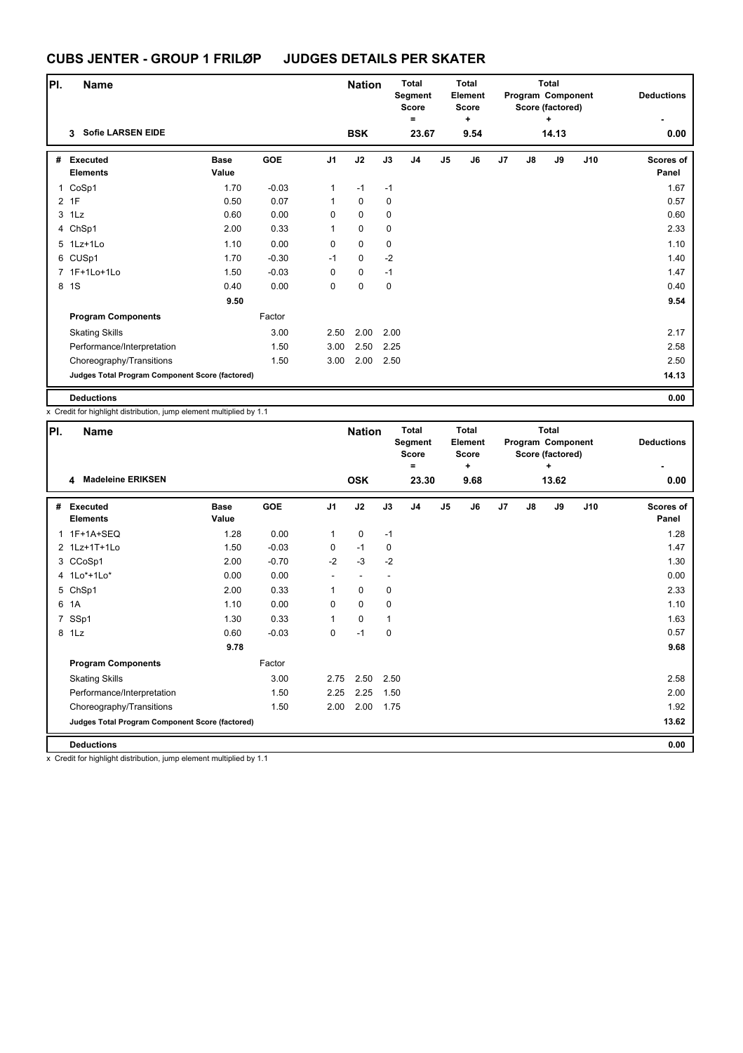| PI.            | <b>Name</b>                                     |                      |         |                | <b>Nation</b> |             | <b>Total</b><br>Segment<br><b>Score</b> |                | Total<br>Element<br><b>Score</b> |                |    | <b>Total</b><br>Program Component<br>Score (factored) |     | <b>Deductions</b>         |
|----------------|-------------------------------------------------|----------------------|---------|----------------|---------------|-------------|-----------------------------------------|----------------|----------------------------------|----------------|----|-------------------------------------------------------|-----|---------------------------|
|                | <b>Sofie LARSEN EIDE</b><br>3                   |                      |         |                | <b>BSK</b>    |             | Ξ                                       |                | ٠<br>9.54                        |                |    | ÷<br>14.13                                            |     |                           |
|                |                                                 |                      |         |                |               |             | 23.67                                   |                |                                  |                |    |                                                       |     | 0.00                      |
| #              | Executed<br><b>Elements</b>                     | <b>Base</b><br>Value | GOE     | J <sub>1</sub> | J2            | J3          | J <sub>4</sub>                          | J <sub>5</sub> | J6                               | J <sub>7</sub> | J8 | J9                                                    | J10 | <b>Scores of</b><br>Panel |
|                | 1 CoSp1                                         | 1.70                 | $-0.03$ | 1              | $-1$          | $-1$        |                                         |                |                                  |                |    |                                                       |     | 1.67                      |
| $\overline{2}$ | 1F                                              | 0.50                 | 0.07    | $\mathbf{1}$   | $\mathbf 0$   | 0           |                                         |                |                                  |                |    |                                                       |     | 0.57                      |
| 3              | 1Lz                                             | 0.60                 | 0.00    | $\mathbf 0$    | $\mathbf 0$   | 0           |                                         |                |                                  |                |    |                                                       |     | 0.60                      |
|                | 4 ChSp1                                         | 2.00                 | 0.33    | $\mathbf{1}$   | $\mathbf 0$   | $\mathbf 0$ |                                         |                |                                  |                |    |                                                       |     | 2.33                      |
|                | 5 1Lz+1Lo                                       | 1.10                 | 0.00    | $\mathbf 0$    | $\mathbf 0$   | 0           |                                         |                |                                  |                |    |                                                       |     | 1.10                      |
|                | 6 CUSp1                                         | 1.70                 | $-0.30$ | $-1$           | $\pmb{0}$     | $-2$        |                                         |                |                                  |                |    |                                                       |     | 1.40                      |
|                | 7 1F+1Lo+1Lo                                    | 1.50                 | $-0.03$ | $\mathbf 0$    | $\mathbf 0$   | $-1$        |                                         |                |                                  |                |    |                                                       |     | 1.47                      |
| 8              | 1S                                              | 0.40                 | 0.00    | $\mathbf 0$    | $\mathbf 0$   | $\mathbf 0$ |                                         |                |                                  |                |    |                                                       |     | 0.40                      |
|                |                                                 | 9.50                 |         |                |               |             |                                         |                |                                  |                |    |                                                       |     | 9.54                      |
|                | <b>Program Components</b>                       |                      | Factor  |                |               |             |                                         |                |                                  |                |    |                                                       |     |                           |
|                | <b>Skating Skills</b>                           |                      | 3.00    | 2.50           | 2.00          | 2.00        |                                         |                |                                  |                |    |                                                       |     | 2.17                      |
|                | Performance/Interpretation                      |                      | 1.50    | 3.00           | 2.50          | 2.25        |                                         |                |                                  |                |    |                                                       |     | 2.58                      |
|                | Choreography/Transitions                        |                      | 1.50    | 3.00           | 2.00          | 2.50        |                                         |                |                                  |                |    |                                                       |     | 2.50                      |
|                | Judges Total Program Component Score (factored) |                      |         |                |               |             |                                         |                |                                  |                |    |                                                       |     | 14.13                     |
|                | <b>Deductions</b>                               |                      |         |                |               |             |                                         |                |                                  |                |    |                                                       |     | 0.00                      |

x Credit for highlight distribution, jump element multiplied by 1.1

| PI. | <b>Name</b>                                     |                      |            |                | <b>Nation</b>            |             | <b>Total</b><br>Segment<br><b>Score</b><br>۰ |                | <b>Total</b><br>Element<br><b>Score</b><br>٠ |    |               | <b>Total</b><br>Program Component<br>Score (factored)<br>٠ |     | <b>Deductions</b>  |
|-----|-------------------------------------------------|----------------------|------------|----------------|--------------------------|-------------|----------------------------------------------|----------------|----------------------------------------------|----|---------------|------------------------------------------------------------|-----|--------------------|
|     | <b>Madeleine ERIKSEN</b><br>4                   |                      |            |                | <b>OSK</b>               |             | 23.30                                        |                | 9.68                                         |    |               | 13.62                                                      |     | 0.00               |
| #   | <b>Executed</b><br><b>Elements</b>              | <b>Base</b><br>Value | <b>GOE</b> | J <sub>1</sub> | J2                       | J3          | J4                                           | J <sub>5</sub> | J6                                           | J7 | $\mathsf{J}8$ | J9                                                         | J10 | Scores of<br>Panel |
|     | 1 1F+1A+SEQ                                     | 1.28                 | 0.00       | 1              | $\mathbf 0$              | $-1$        |                                              |                |                                              |    |               |                                                            |     | 1.28               |
|     | 2 1Lz+1T+1Lo                                    | 1.50                 | $-0.03$    | 0              | $-1$                     | $\mathbf 0$ |                                              |                |                                              |    |               |                                                            |     | 1.47               |
|     | 3 CCoSp1                                        | 2.00                 | $-0.70$    | $-2$           | $-3$                     | $-2$        |                                              |                |                                              |    |               |                                                            |     | 1.30               |
|     | 4 1Lo*+1Lo*                                     | 0.00                 | 0.00       |                | $\overline{\phantom{a}}$ |             |                                              |                |                                              |    |               |                                                            |     | 0.00               |
|     | 5 ChSp1                                         | 2.00                 | 0.33       | 1              | $\mathbf 0$              | $\mathbf 0$ |                                              |                |                                              |    |               |                                                            |     | 2.33               |
| 6   | 1A                                              | 1.10                 | 0.00       | 0              | $\mathbf 0$              | $\mathbf 0$ |                                              |                |                                              |    |               |                                                            |     | 1.10               |
| 7   | SSp1                                            | 1.30                 | 0.33       | 1              | 0                        | 1           |                                              |                |                                              |    |               |                                                            |     | 1.63               |
|     | 8 1Lz                                           | 0.60                 | $-0.03$    | 0              | $-1$                     | 0           |                                              |                |                                              |    |               |                                                            |     | 0.57               |
|     |                                                 | 9.78                 |            |                |                          |             |                                              |                |                                              |    |               |                                                            |     | 9.68               |
|     | <b>Program Components</b>                       |                      | Factor     |                |                          |             |                                              |                |                                              |    |               |                                                            |     |                    |
|     | <b>Skating Skills</b>                           |                      | 3.00       | 2.75           | 2.50                     | 2.50        |                                              |                |                                              |    |               |                                                            |     | 2.58               |
|     | Performance/Interpretation                      |                      | 1.50       | 2.25           | 2.25                     | 1.50        |                                              |                |                                              |    |               |                                                            |     | 2.00               |
|     | Choreography/Transitions                        |                      | 1.50       | 2.00           | 2.00                     | 1.75        |                                              |                |                                              |    |               |                                                            |     | 1.92               |
|     | Judges Total Program Component Score (factored) |                      |            |                |                          |             |                                              |                |                                              |    |               |                                                            |     | 13.62              |
|     | <b>Deductions</b>                               |                      |            |                |                          |             |                                              |                |                                              |    |               |                                                            |     | 0.00               |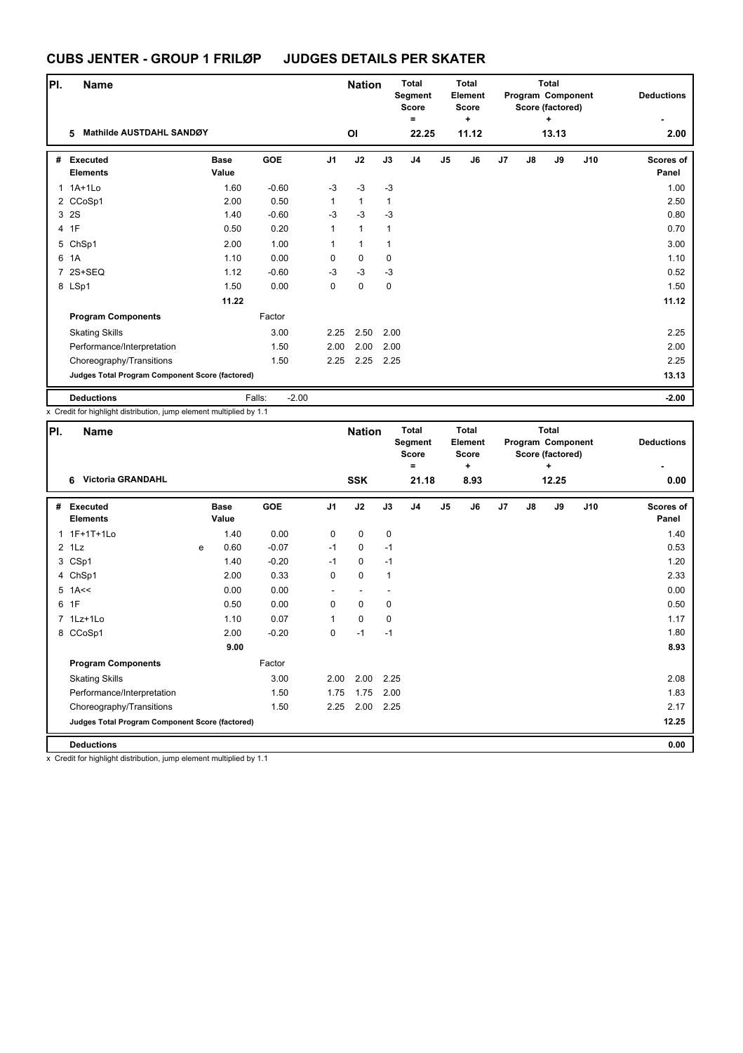| PI. | <b>Name</b>                                     |                      |                   |                | <b>Nation</b> |      | <b>Total</b><br>Segment<br><b>Score</b><br>$\equiv$ |                | <b>Total</b><br>Element<br><b>Score</b><br>÷ |    |               | Total<br>Program Component<br>Score (factored)<br>٠ |     | <b>Deductions</b>         |
|-----|-------------------------------------------------|----------------------|-------------------|----------------|---------------|------|-----------------------------------------------------|----------------|----------------------------------------------|----|---------------|-----------------------------------------------------|-----|---------------------------|
|     | Mathilde AUSTDAHL SANDØY<br>5                   |                      |                   |                | OI            |      | 22.25                                               |                | 11.12                                        |    |               | 13.13                                               |     | 2.00                      |
| #   | Executed<br><b>Elements</b>                     | <b>Base</b><br>Value | <b>GOE</b>        | J <sub>1</sub> | J2            | J3   | J4                                                  | J <sub>5</sub> | J6                                           | J7 | $\mathsf{J}8$ | J9                                                  | J10 | <b>Scores of</b><br>Panel |
|     | 1 1A+1Lo                                        | 1.60                 | $-0.60$           | $-3$           | $-3$          | $-3$ |                                                     |                |                                              |    |               |                                                     |     | 1.00                      |
|     | 2 CCoSp1                                        | 2.00                 | 0.50              | $\mathbf{1}$   | $\mathbf{1}$  | 1    |                                                     |                |                                              |    |               |                                                     |     | 2.50                      |
|     | 3 2S                                            | 1.40                 | $-0.60$           | $-3$           | $-3$          | $-3$ |                                                     |                |                                              |    |               |                                                     |     | 0.80                      |
|     | 4 1F                                            | 0.50                 | 0.20              | $\mathbf{1}$   | $\mathbf{1}$  | 1    |                                                     |                |                                              |    |               |                                                     |     | 0.70                      |
|     | 5 ChSp1                                         | 2.00                 | 1.00              | $\mathbf{1}$   | $\mathbf{1}$  | 1    |                                                     |                |                                              |    |               |                                                     |     | 3.00                      |
|     | 6 1A                                            | 1.10                 | 0.00              | 0              | $\mathbf 0$   | 0    |                                                     |                |                                              |    |               |                                                     |     | 1.10                      |
|     | 7 2S+SEQ                                        | 1.12                 | $-0.60$           | $-3$           | $-3$          | $-3$ |                                                     |                |                                              |    |               |                                                     |     | 0.52                      |
|     | 8 LSp1                                          | 1.50                 | 0.00              | 0              | $\mathbf 0$   | 0    |                                                     |                |                                              |    |               |                                                     |     | 1.50                      |
|     |                                                 | 11.22                |                   |                |               |      |                                                     |                |                                              |    |               |                                                     |     | 11.12                     |
|     | <b>Program Components</b>                       |                      | Factor            |                |               |      |                                                     |                |                                              |    |               |                                                     |     |                           |
|     | <b>Skating Skills</b>                           |                      | 3.00              | 2.25           | 2.50          | 2.00 |                                                     |                |                                              |    |               |                                                     |     | 2.25                      |
|     | Performance/Interpretation                      |                      | 1.50              | 2.00           | 2.00          | 2.00 |                                                     |                |                                              |    |               |                                                     |     | 2.00                      |
|     | Choreography/Transitions                        |                      | 1.50              | 2.25           | 2.25          | 2.25 |                                                     |                |                                              |    |               |                                                     |     | 2.25                      |
|     | Judges Total Program Component Score (factored) |                      |                   |                |               |      |                                                     |                |                                              |    |               |                                                     |     | 13.13                     |
|     | <b>Deductions</b>                               |                      | Falls:<br>$-2.00$ |                |               |      |                                                     |                |                                              |    |               |                                                     |     | $-2.00$                   |

x Credit for highlight distribution, jump element multiplied by 1.1

| PI. | Name                                            |   |                      |         |                | <b>Nation</b> |              | <b>Total</b><br>Segment<br><b>Score</b> |                | <b>Total</b><br><b>Element</b><br><b>Score</b> |                |    | <b>Total</b><br>Program Component<br>Score (factored) |     | <b>Deductions</b>         |
|-----|-------------------------------------------------|---|----------------------|---------|----------------|---------------|--------------|-----------------------------------------|----------------|------------------------------------------------|----------------|----|-------------------------------------------------------|-----|---------------------------|
|     | <b>Victoria GRANDAHL</b><br>6                   |   |                      |         |                | <b>SSK</b>    |              | ٠<br>21.18                              |                | ÷<br>8.93                                      |                |    | ٠<br>12.25                                            |     | 0.00                      |
|     |                                                 |   |                      |         |                |               |              |                                         |                |                                                |                |    |                                                       |     |                           |
| #   | Executed<br><b>Elements</b>                     |   | <b>Base</b><br>Value | GOE     | J <sub>1</sub> | J2            | J3           | J <sub>4</sub>                          | J <sub>5</sub> | J6                                             | J <sub>7</sub> | J8 | J9                                                    | J10 | <b>Scores of</b><br>Panel |
|     | 1 1F+1T+1Lo                                     |   | 1.40                 | 0.00    | 0              | 0             | 0            |                                         |                |                                                |                |    |                                                       |     | 1.40                      |
|     | $2$ 1 Lz                                        | e | 0.60                 | $-0.07$ | $-1$           | $\mathbf 0$   | $-1$         |                                         |                |                                                |                |    |                                                       |     | 0.53                      |
|     | 3 CSp1                                          |   | 1.40                 | $-0.20$ | $-1$           | $\mathbf 0$   | $-1$         |                                         |                |                                                |                |    |                                                       |     | 1.20                      |
|     | 4 ChSp1                                         |   | 2.00                 | 0.33    | 0              | $\mathbf 0$   | $\mathbf{1}$ |                                         |                |                                                |                |    |                                                       |     | 2.33                      |
|     | $5$ 1A <<                                       |   | 0.00                 | 0.00    |                |               |              |                                         |                |                                                |                |    |                                                       |     | 0.00                      |
| 6   | 1F                                              |   | 0.50                 | 0.00    | $\Omega$       | $\mathbf{0}$  | 0            |                                         |                |                                                |                |    |                                                       |     | 0.50                      |
|     | 7 1Lz+1Lo                                       |   | 1.10                 | 0.07    | 1              | $\mathbf 0$   | 0            |                                         |                |                                                |                |    |                                                       |     | 1.17                      |
|     | 8 CCoSp1                                        |   | 2.00                 | $-0.20$ | 0              | $-1$          | $-1$         |                                         |                |                                                |                |    |                                                       |     | 1.80                      |
|     |                                                 |   | 9.00                 |         |                |               |              |                                         |                |                                                |                |    |                                                       |     | 8.93                      |
|     | <b>Program Components</b>                       |   |                      | Factor  |                |               |              |                                         |                |                                                |                |    |                                                       |     |                           |
|     | <b>Skating Skills</b>                           |   |                      | 3.00    | 2.00           | 2.00          | 2.25         |                                         |                |                                                |                |    |                                                       |     | 2.08                      |
|     | Performance/Interpretation                      |   |                      | 1.50    | 1.75           | 1.75          | 2.00         |                                         |                |                                                |                |    |                                                       |     | 1.83                      |
|     | Choreography/Transitions                        |   |                      | 1.50    | 2.25           | 2.00          | 2.25         |                                         |                |                                                |                |    |                                                       |     | 2.17                      |
|     | Judges Total Program Component Score (factored) |   |                      |         |                |               |              |                                         |                |                                                |                |    |                                                       |     | 12.25                     |
|     | <b>Deductions</b>                               |   |                      |         |                |               |              |                                         |                |                                                |                |    |                                                       |     | 0.00                      |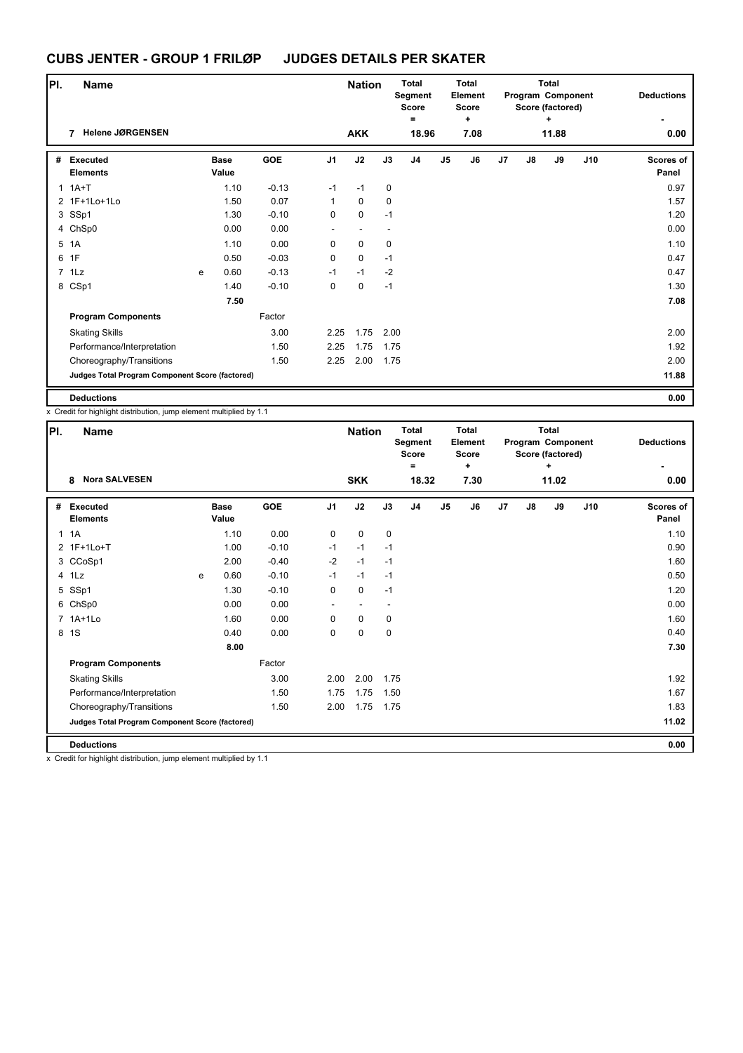| PI. | <b>Name</b>                                     |   |                      |         |                          | <b>Nation</b>            |      | <b>Total</b><br>Segment<br><b>Score</b> |    | <b>Total</b><br>Element<br><b>Score</b> |                |    | <b>Total</b><br>Program Component<br>Score (factored) |     | <b>Deductions</b>         |
|-----|-------------------------------------------------|---|----------------------|---------|--------------------------|--------------------------|------|-----------------------------------------|----|-----------------------------------------|----------------|----|-------------------------------------------------------|-----|---------------------------|
|     |                                                 |   |                      |         |                          |                          |      | Ξ                                       |    | ÷                                       |                |    | ÷                                                     |     |                           |
|     | <b>Helene JØRGENSEN</b>                         |   |                      |         |                          | <b>AKK</b>               |      | 18.96                                   |    | 7.08                                    |                |    | 11.88                                                 |     | 0.00                      |
| #   | <b>Executed</b><br><b>Elements</b>              |   | <b>Base</b><br>Value | GOE     | J <sub>1</sub>           | J2                       | J3   | J <sub>4</sub>                          | J5 | J6                                      | J <sub>7</sub> | J8 | J9                                                    | J10 | <b>Scores of</b><br>Panel |
| 1   | $1A+T$                                          |   | 1.10                 | $-0.13$ | $-1$                     | $-1$                     | 0    |                                         |    |                                         |                |    |                                                       |     | 0.97                      |
|     | 2 1F+1Lo+1Lo                                    |   | 1.50                 | 0.07    | $\mathbf{1}$             | 0                        | 0    |                                         |    |                                         |                |    |                                                       |     | 1.57                      |
|     | 3 SSp1                                          |   | 1.30                 | $-0.10$ | $\pmb{0}$                | $\pmb{0}$                | $-1$ |                                         |    |                                         |                |    |                                                       |     | 1.20                      |
|     | 4 ChSp0                                         |   | 0.00                 | 0.00    | $\overline{\phantom{a}}$ | $\overline{\phantom{a}}$ |      |                                         |    |                                         |                |    |                                                       |     | 0.00                      |
| 5   | 1A                                              |   | 1.10                 | 0.00    | $\mathbf 0$              | $\mathbf 0$              | 0    |                                         |    |                                         |                |    |                                                       |     | 1.10                      |
| 6   | 1F                                              |   | 0.50                 | $-0.03$ | $\pmb{0}$                | $\pmb{0}$                | $-1$ |                                         |    |                                         |                |    |                                                       |     | 0.47                      |
|     | 7 1Lz                                           | e | 0.60                 | $-0.13$ | $-1$                     | $-1$                     | $-2$ |                                         |    |                                         |                |    |                                                       |     | 0.47                      |
|     | 8 CSp1                                          |   | 1.40                 | $-0.10$ | $\mathbf 0$              | $\mathbf 0$              | $-1$ |                                         |    |                                         |                |    |                                                       |     | 1.30                      |
|     |                                                 |   | 7.50                 |         |                          |                          |      |                                         |    |                                         |                |    |                                                       |     | 7.08                      |
|     | <b>Program Components</b>                       |   |                      | Factor  |                          |                          |      |                                         |    |                                         |                |    |                                                       |     |                           |
|     | <b>Skating Skills</b>                           |   |                      | 3.00    | 2.25                     | 1.75                     | 2.00 |                                         |    |                                         |                |    |                                                       |     | 2.00                      |
|     | Performance/Interpretation                      |   |                      | 1.50    | 2.25                     | 1.75                     | 1.75 |                                         |    |                                         |                |    |                                                       |     | 1.92                      |
|     | Choreography/Transitions                        |   |                      | 1.50    | 2.25                     | 2.00                     | 1.75 |                                         |    |                                         |                |    |                                                       |     | 2.00                      |
|     | Judges Total Program Component Score (factored) |   |                      |         |                          |                          |      |                                         |    |                                         |                |    |                                                       |     | 11.88                     |
|     | <b>Deductions</b>                               |   |                      |         |                          |                          |      |                                         |    |                                         |                |    |                                                       |     | 0.00                      |

|              | x Credit for highlight distribution, jump element multiplied by 1.1 |   |                      |         |                |               |      |                                              |                |                                              |                |    |                                                            |     |                    |
|--------------|---------------------------------------------------------------------|---|----------------------|---------|----------------|---------------|------|----------------------------------------------|----------------|----------------------------------------------|----------------|----|------------------------------------------------------------|-----|--------------------|
| PI.          | Name                                                                |   |                      |         |                | <b>Nation</b> |      | <b>Total</b><br>Segment<br><b>Score</b><br>= |                | <b>Total</b><br>Element<br><b>Score</b><br>÷ |                |    | <b>Total</b><br>Program Component<br>Score (factored)<br>÷ |     | <b>Deductions</b>  |
|              | <b>Nora SALVESEN</b><br>8                                           |   |                      |         |                | <b>SKK</b>    |      | 18.32                                        |                | 7.30                                         |                |    | 11.02                                                      |     | 0.00               |
| #            | <b>Executed</b><br><b>Elements</b>                                  |   | <b>Base</b><br>Value | GOE     | J <sub>1</sub> | J2            | J3   | J <sub>4</sub>                               | J <sub>5</sub> | J6                                           | J <sub>7</sub> | J8 | J9                                                         | J10 | Scores of<br>Panel |
| $\mathbf{1}$ | 1A                                                                  |   | 1.10                 | 0.00    | 0              | $\mathbf 0$   | 0    |                                              |                |                                              |                |    |                                                            |     | 1.10               |
|              | 2 1F+1Lo+T                                                          |   | 1.00                 | $-0.10$ | $-1$           | $-1$          | $-1$ |                                              |                |                                              |                |    |                                                            |     | 0.90               |
|              | 3 CCoSp1                                                            |   | 2.00                 | $-0.40$ | $-2$           | $-1$          | $-1$ |                                              |                |                                              |                |    |                                                            |     | 1.60               |
|              | 4 1Lz                                                               | e | 0.60                 | $-0.10$ | $-1$           | $-1$          | $-1$ |                                              |                |                                              |                |    |                                                            |     | 0.50               |
|              | 5 SSp1                                                              |   | 1.30                 | $-0.10$ | 0              | $\mathbf 0$   | $-1$ |                                              |                |                                              |                |    |                                                            |     | 1.20               |
|              | 6 ChSp0                                                             |   | 0.00                 | 0.00    | ٠              |               |      |                                              |                |                                              |                |    |                                                            |     | 0.00               |
|              | 7 1A+1Lo                                                            |   | 1.60                 | 0.00    | 0              | $\mathbf 0$   | 0    |                                              |                |                                              |                |    |                                                            |     | 1.60               |
|              | 8 1S                                                                |   | 0.40                 | 0.00    | 0              | $\mathbf 0$   | 0    |                                              |                |                                              |                |    |                                                            |     | 0.40               |
|              |                                                                     |   | 8.00                 |         |                |               |      |                                              |                |                                              |                |    |                                                            |     | 7.30               |
|              | <b>Program Components</b>                                           |   |                      | Factor  |                |               |      |                                              |                |                                              |                |    |                                                            |     |                    |
|              | <b>Skating Skills</b>                                               |   |                      | 3.00    | 2.00           | 2.00          | 1.75 |                                              |                |                                              |                |    |                                                            |     | 1.92               |
|              | Performance/Interpretation                                          |   |                      | 1.50    | 1.75           | 1.75          | 1.50 |                                              |                |                                              |                |    |                                                            |     | 1.67               |
|              | Choreography/Transitions                                            |   |                      | 1.50    | 2.00           | 1.75          | 1.75 |                                              |                |                                              |                |    |                                                            |     | 1.83               |
|              | <b>Judges Total Program Component Score (factored)</b>              |   |                      |         |                |               |      |                                              |                |                                              |                |    |                                                            |     | 11.02              |
|              | <b>Deductions</b>                                                   |   |                      |         |                |               |      |                                              |                |                                              |                |    |                                                            |     | 0.00               |
| v            | Credit for highlight distribution jump element multiplied by 1.1    |   |                      |         |                |               |      |                                              |                |                                              |                |    |                                                            |     |                    |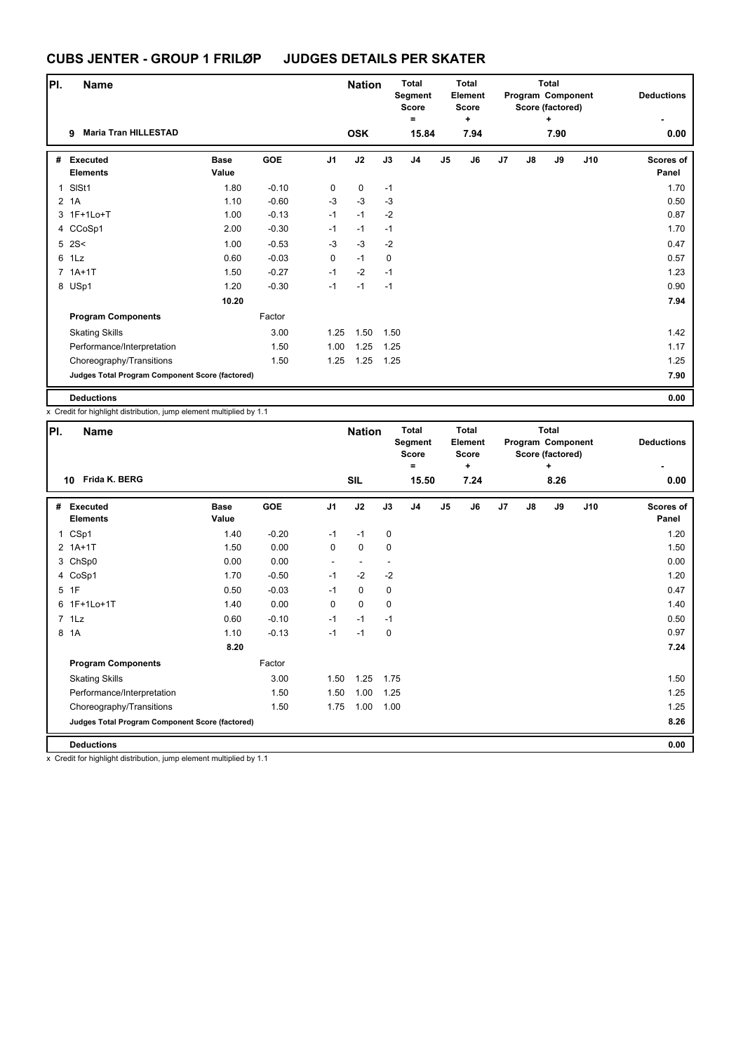| PI.            | <b>Name</b>                                     |                      |         |                | <b>Nation</b> |      | <b>Total</b><br>Segment<br><b>Score</b> |                | <b>Total</b><br>Element<br><b>Score</b> |                |    | <b>Total</b><br>Program Component<br>Score (factored) |     | <b>Deductions</b>  |
|----------------|-------------------------------------------------|----------------------|---------|----------------|---------------|------|-----------------------------------------|----------------|-----------------------------------------|----------------|----|-------------------------------------------------------|-----|--------------------|
|                | <b>Maria Tran HILLESTAD</b><br>9                |                      |         |                | <b>OSK</b>    |      | $\equiv$<br>15.84                       |                | ÷<br>7.94                               |                |    | $\ddot{}$<br>7.90                                     |     | 0.00               |
|                |                                                 |                      |         |                |               |      |                                         |                |                                         |                |    |                                                       |     |                    |
| #              | <b>Executed</b><br><b>Elements</b>              | <b>Base</b><br>Value | GOE     | J <sub>1</sub> | J2            | J3   | J <sub>4</sub>                          | J <sub>5</sub> | J6                                      | J <sub>7</sub> | J8 | J9                                                    | J10 | Scores of<br>Panel |
| 1              | SISt1                                           | 1.80                 | $-0.10$ | 0              | $\mathbf 0$   | $-1$ |                                         |                |                                         |                |    |                                                       |     | 1.70               |
| $\overline{2}$ | 1A                                              | 1.10                 | $-0.60$ | $-3$           | $-3$          | $-3$ |                                         |                |                                         |                |    |                                                       |     | 0.50               |
|                | 3 1F+1Lo+T                                      | 1.00                 | $-0.13$ | $-1$           | $-1$          | $-2$ |                                         |                |                                         |                |    |                                                       |     | 0.87               |
|                | 4 CCoSp1                                        | 2.00                 | $-0.30$ | $-1$           | $-1$          | $-1$ |                                         |                |                                         |                |    |                                                       |     | 1.70               |
|                | $5$ 2S<                                         | 1.00                 | $-0.53$ | $-3$           | $-3$          | $-2$ |                                         |                |                                         |                |    |                                                       |     | 0.47               |
|                | 6 1Lz                                           | 0.60                 | $-0.03$ | 0              | $-1$          | 0    |                                         |                |                                         |                |    |                                                       |     | 0.57               |
|                | $7.1A+1T$                                       | 1.50                 | $-0.27$ | $-1$           | $-2$          | $-1$ |                                         |                |                                         |                |    |                                                       |     | 1.23               |
|                | 8 USp1                                          | 1.20                 | $-0.30$ | $-1$           | $-1$          | $-1$ |                                         |                |                                         |                |    |                                                       |     | 0.90               |
|                |                                                 | 10.20                |         |                |               |      |                                         |                |                                         |                |    |                                                       |     | 7.94               |
|                | <b>Program Components</b>                       |                      | Factor  |                |               |      |                                         |                |                                         |                |    |                                                       |     |                    |
|                | <b>Skating Skills</b>                           |                      | 3.00    | 1.25           | 1.50          | 1.50 |                                         |                |                                         |                |    |                                                       |     | 1.42               |
|                | Performance/Interpretation                      |                      | 1.50    | 1.00           | 1.25          | 1.25 |                                         |                |                                         |                |    |                                                       |     | 1.17               |
|                | Choreography/Transitions                        |                      | 1.50    | 1.25           | 1.25          | 1.25 |                                         |                |                                         |                |    |                                                       |     | 1.25               |
|                | Judges Total Program Component Score (factored) |                      |         |                |               |      |                                         |                |                                         |                |    |                                                       |     | 7.90               |
|                | <b>Deductions</b>                               |                      |         |                |               |      |                                         |                |                                         |                |    |                                                       |     | 0.00               |

x Credit for highlight distribution, jump element multiplied by 1.1

| PI. | <b>Name</b>                                     |                      |            |                | <b>Nation</b> |             | <b>Total</b><br>Segment<br><b>Score</b><br>۰ |    | <b>Total</b><br>Element<br><b>Score</b><br>٠ |    |               | <b>Total</b><br>Program Component<br>Score (factored)<br>٠ |     | <b>Deductions</b>  |
|-----|-------------------------------------------------|----------------------|------------|----------------|---------------|-------------|----------------------------------------------|----|----------------------------------------------|----|---------------|------------------------------------------------------------|-----|--------------------|
|     | Frida K. BERG<br>10                             |                      |            |                | <b>SIL</b>    |             | 15.50                                        |    | 7.24                                         |    |               | 8.26                                                       |     | 0.00               |
| #   | Executed<br><b>Elements</b>                     | <b>Base</b><br>Value | <b>GOE</b> | J <sub>1</sub> | J2            | J3          | J <sub>4</sub>                               | J5 | J6                                           | J7 | $\mathsf{J}8$ | J9                                                         | J10 | Scores of<br>Panel |
|     | 1 CSp1                                          | 1.40                 | $-0.20$    | $-1$           | $-1$          | 0           |                                              |    |                                              |    |               |                                                            |     | 1.20               |
|     | $2$ 1A+1T                                       | 1.50                 | 0.00       | 0              | $\mathbf 0$   | $\mathbf 0$ |                                              |    |                                              |    |               |                                                            |     | 1.50               |
|     | 3 ChSp0                                         | 0.00                 | 0.00       | $\sim$         |               |             |                                              |    |                                              |    |               |                                                            |     | 0.00               |
|     | 4 CoSp1                                         | 1.70                 | $-0.50$    | $-1$           | $-2$          | $-2$        |                                              |    |                                              |    |               |                                                            |     | 1.20               |
|     | 5 1F                                            | 0.50                 | $-0.03$    | $-1$           | $\mathbf 0$   | $\mathbf 0$ |                                              |    |                                              |    |               |                                                            |     | 0.47               |
|     | 6 1F+1Lo+1T                                     | 1.40                 | 0.00       | 0              | $\mathbf{0}$  | $\mathbf 0$ |                                              |    |                                              |    |               |                                                            |     | 1.40               |
|     | $7$ 1 Lz                                        | 0.60                 | $-0.10$    | $-1$           | $-1$          | $-1$        |                                              |    |                                              |    |               |                                                            |     | 0.50               |
| 8   | 1A                                              | 1.10                 | $-0.13$    | $-1$           | $-1$          | 0           |                                              |    |                                              |    |               |                                                            |     | 0.97               |
|     |                                                 | 8.20                 |            |                |               |             |                                              |    |                                              |    |               |                                                            |     | 7.24               |
|     | <b>Program Components</b>                       |                      | Factor     |                |               |             |                                              |    |                                              |    |               |                                                            |     |                    |
|     | <b>Skating Skills</b>                           |                      | 3.00       | 1.50           | 1.25          | 1.75        |                                              |    |                                              |    |               |                                                            |     | 1.50               |
|     | Performance/Interpretation                      |                      | 1.50       | 1.50           | 1.00          | 1.25        |                                              |    |                                              |    |               |                                                            |     | 1.25               |
|     | Choreography/Transitions                        |                      | 1.50       | 1.75           | 1.00          | 1.00        |                                              |    |                                              |    |               |                                                            |     | 1.25               |
|     | Judges Total Program Component Score (factored) |                      |            |                |               |             |                                              |    |                                              |    |               |                                                            |     | 8.26               |
|     | <b>Deductions</b>                               |                      |            |                |               |             |                                              |    |                                              |    |               |                                                            |     | 0.00               |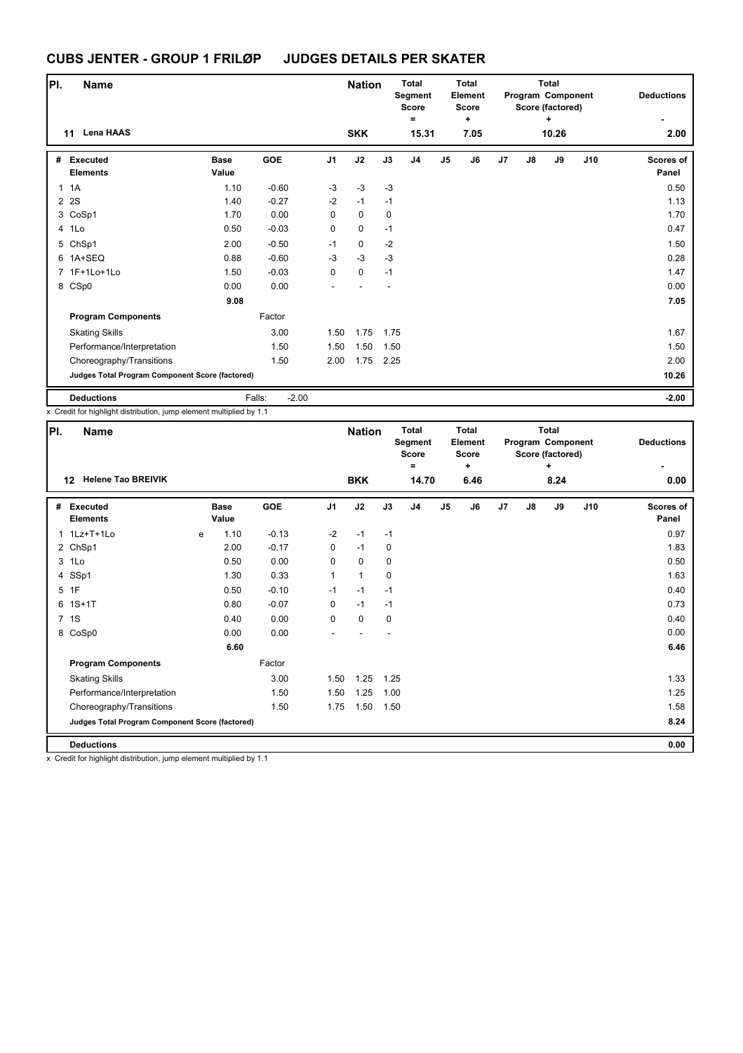| PI.          | Name                                            |                      |                   |                | <b>Nation</b> |                          | <b>Total</b><br>Segment<br><b>Score</b><br>Ξ |                | <b>Total</b><br>Element<br><b>Score</b><br>÷ |    |               | <b>Total</b><br>Program Component<br>Score (factored)<br>٠ |     | <b>Deductions</b>         |
|--------------|-------------------------------------------------|----------------------|-------------------|----------------|---------------|--------------------------|----------------------------------------------|----------------|----------------------------------------------|----|---------------|------------------------------------------------------------|-----|---------------------------|
|              | <b>Lena HAAS</b><br>11                          |                      |                   |                | <b>SKK</b>    |                          | 15.31                                        |                | 7.05                                         |    |               | 10.26                                                      |     | 2.00                      |
| #            | Executed<br><b>Elements</b>                     | <b>Base</b><br>Value | GOE               | J <sub>1</sub> | J2            | J3                       | J <sub>4</sub>                               | J <sub>5</sub> | J6                                           | J7 | $\mathsf{J}8$ | J9                                                         | J10 | <b>Scores of</b><br>Panel |
| $\mathbf{1}$ | 1A                                              | 1.10                 | $-0.60$           | $-3$           | $-3$          | $-3$                     |                                              |                |                                              |    |               |                                                            |     | 0.50                      |
|              | 2 2 S                                           | 1.40                 | $-0.27$           | $-2$           | $-1$          | $-1$                     |                                              |                |                                              |    |               |                                                            |     | 1.13                      |
|              | 3 CoSp1                                         | 1.70                 | 0.00              | 0              | 0             | $\mathbf 0$              |                                              |                |                                              |    |               |                                                            |     | 1.70                      |
|              | 4 1Lo                                           | 0.50                 | $-0.03$           | 0              | 0             | $-1$                     |                                              |                |                                              |    |               |                                                            |     | 0.47                      |
|              | 5 ChSp1                                         | 2.00                 | $-0.50$           | $-1$           | 0             | $-2$                     |                                              |                |                                              |    |               |                                                            |     | 1.50                      |
|              | 6 1A+SEQ                                        | 0.88                 | $-0.60$           | $-3$           | $-3$          | $-3$                     |                                              |                |                                              |    |               |                                                            |     | 0.28                      |
|              | 7 1F+1Lo+1Lo                                    | 1.50                 | $-0.03$           | 0              | $\mathbf 0$   | $-1$                     |                                              |                |                                              |    |               |                                                            |     | 1.47                      |
|              | 8 CSp0                                          | 0.00                 | 0.00              |                |               | $\overline{\phantom{a}}$ |                                              |                |                                              |    |               |                                                            |     | 0.00                      |
|              |                                                 | 9.08                 |                   |                |               |                          |                                              |                |                                              |    |               |                                                            |     | 7.05                      |
|              | <b>Program Components</b>                       |                      | Factor            |                |               |                          |                                              |                |                                              |    |               |                                                            |     |                           |
|              | <b>Skating Skills</b>                           |                      | 3.00              | 1.50           | 1.75          | 1.75                     |                                              |                |                                              |    |               |                                                            |     | 1.67                      |
|              | Performance/Interpretation                      |                      | 1.50              | 1.50           | 1.50          | 1.50                     |                                              |                |                                              |    |               |                                                            |     | 1.50                      |
|              | Choreography/Transitions                        |                      | 1.50              | 2.00           | 1.75          | 2.25                     |                                              |                |                                              |    |               |                                                            |     | 2.00                      |
|              | Judges Total Program Component Score (factored) |                      |                   |                |               |                          |                                              |                |                                              |    |               |                                                            |     | 10.26                     |
|              | <b>Deductions</b>                               |                      | Falls:<br>$-2.00$ |                |               |                          |                                              |                |                                              |    |               |                                                            |     | $-2.00$                   |

x Credit for highlight distribution, jump element multiplied by 1.1

| PI. | <b>Name</b>                                     |   |                      |         |                | <b>Nation</b> |             | <b>Total</b><br>Segment<br><b>Score</b> |                | <b>Total</b><br>Element<br><b>Score</b> |    |               | <b>Total</b><br>Program Component<br>Score (factored) |     | <b>Deductions</b>         |
|-----|-------------------------------------------------|---|----------------------|---------|----------------|---------------|-------------|-----------------------------------------|----------------|-----------------------------------------|----|---------------|-------------------------------------------------------|-----|---------------------------|
|     | <b>Helene Tao BREIVIK</b><br>12                 |   |                      |         |                | <b>BKK</b>    |             | =<br>14.70                              |                | ٠<br>6.46                               |    |               | ÷<br>8.24                                             |     | 0.00                      |
|     |                                                 |   |                      |         |                |               |             |                                         |                |                                         |    |               |                                                       |     |                           |
| #   | Executed<br><b>Elements</b>                     |   | <b>Base</b><br>Value | GOE     | J <sub>1</sub> | J2            | J3          | J <sub>4</sub>                          | J <sub>5</sub> | J6                                      | J7 | $\mathsf{J}8$ | J9                                                    | J10 | <b>Scores of</b><br>Panel |
| 1   | 1Lz+T+1Lo                                       | e | 1.10                 | $-0.13$ | $-2$           | $-1$          | $-1$        |                                         |                |                                         |    |               |                                                       |     | 0.97                      |
|     | 2 ChSp1                                         |   | 2.00                 | $-0.17$ | 0              | $-1$          | 0           |                                         |                |                                         |    |               |                                                       |     | 1.83                      |
|     | 3 1Lo                                           |   | 0.50                 | 0.00    | 0              | $\mathbf 0$   | 0           |                                         |                |                                         |    |               |                                                       |     | 0.50                      |
| 4   | SSp1                                            |   | 1.30                 | 0.33    | 1              | $\mathbf{1}$  | $\mathbf 0$ |                                         |                |                                         |    |               |                                                       |     | 1.63                      |
|     | 5 1F                                            |   | 0.50                 | $-0.10$ | $-1$           | $-1$          | $-1$        |                                         |                |                                         |    |               |                                                       |     | 0.40                      |
|     | $6$ 1S+1T                                       |   | 0.80                 | $-0.07$ | 0              | $-1$          | $-1$        |                                         |                |                                         |    |               |                                                       |     | 0.73                      |
|     | 7 1S                                            |   | 0.40                 | 0.00    | 0              | $\mathbf 0$   | 0           |                                         |                |                                         |    |               |                                                       |     | 0.40                      |
|     | 8 CoSp0                                         |   | 0.00                 | 0.00    |                |               |             |                                         |                |                                         |    |               |                                                       |     | 0.00                      |
|     |                                                 |   | 6.60                 |         |                |               |             |                                         |                |                                         |    |               |                                                       |     | 6.46                      |
|     | <b>Program Components</b>                       |   |                      | Factor  |                |               |             |                                         |                |                                         |    |               |                                                       |     |                           |
|     | <b>Skating Skills</b>                           |   |                      | 3.00    | 1.50           | 1.25          | 1.25        |                                         |                |                                         |    |               |                                                       |     | 1.33                      |
|     | Performance/Interpretation                      |   |                      | 1.50    | 1.50           | 1.25          | 1.00        |                                         |                |                                         |    |               |                                                       |     | 1.25                      |
|     | Choreography/Transitions                        |   |                      | 1.50    | 1.75           | 1.50          | 1.50        |                                         |                |                                         |    |               |                                                       |     | 1.58                      |
|     | Judges Total Program Component Score (factored) |   |                      |         |                |               |             |                                         |                |                                         |    |               |                                                       |     | 8.24                      |
|     | <b>Deductions</b>                               |   |                      |         |                |               |             |                                         |                |                                         |    |               |                                                       |     | 0.00                      |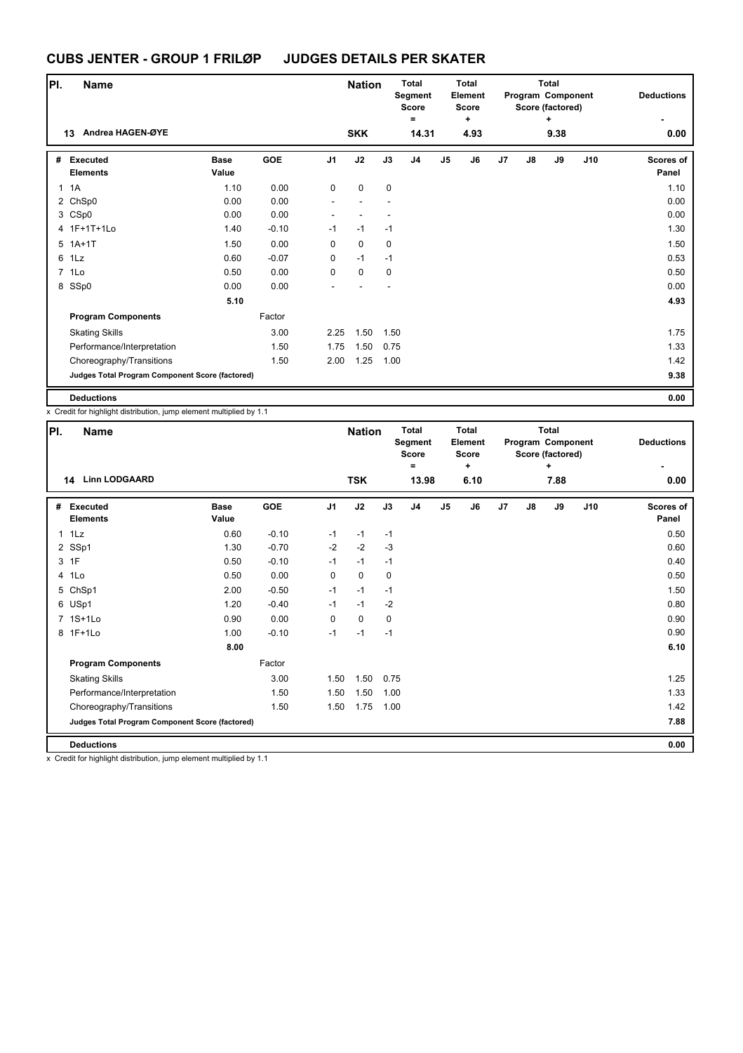| PI. | <b>Name</b>                                     |                      |         | <b>Nation</b>  |             | <b>Total</b><br>Segment<br><b>Score</b> |                | Total<br>Element<br><b>Score</b> |           |                | <b>Total</b><br>Program Component<br>Score (factored) |                   | <b>Deductions</b> |                    |
|-----|-------------------------------------------------|----------------------|---------|----------------|-------------|-----------------------------------------|----------------|----------------------------------|-----------|----------------|-------------------------------------------------------|-------------------|-------------------|--------------------|
|     | Andrea HAGEN-ØYE<br>13                          |                      |         |                | <b>SKK</b>  |                                         | $=$<br>14.31   |                                  | ٠<br>4.93 |                |                                                       | $\ddot{}$<br>9.38 |                   | 0.00               |
|     |                                                 |                      |         |                |             |                                         |                |                                  |           |                |                                                       |                   |                   |                    |
| #   | Executed<br><b>Elements</b>                     | <b>Base</b><br>Value | GOE     | J <sub>1</sub> | J2          | J3                                      | J <sub>4</sub> | J <sub>5</sub>                   | J6        | J <sub>7</sub> | J8                                                    | J9                | J10               | Scores of<br>Panel |
| 1   | 1A                                              | 1.10                 | 0.00    | 0              | 0           | $\mathbf 0$                             |                |                                  |           |                |                                                       |                   |                   | 1.10               |
|     | 2 ChSp0                                         | 0.00                 | 0.00    |                |             |                                         |                |                                  |           |                |                                                       |                   |                   | 0.00               |
|     | 3 CSp0                                          | 0.00                 | 0.00    |                |             |                                         |                |                                  |           |                |                                                       |                   |                   | 0.00               |
|     | 4 1F+1T+1Lo                                     | 1.40                 | $-0.10$ | $-1$           | $-1$        | $-1$                                    |                |                                  |           |                |                                                       |                   |                   | 1.30               |
|     | $5$ 1A+1T                                       | 1.50                 | 0.00    | 0              | $\mathbf 0$ | 0                                       |                |                                  |           |                |                                                       |                   |                   | 1.50               |
| 6   | 1Lz                                             | 0.60                 | $-0.07$ | 0              | $-1$        | $-1$                                    |                |                                  |           |                |                                                       |                   |                   | 0.53               |
|     | 7 1Lo                                           | 0.50                 | 0.00    | 0              | $\mathbf 0$ | 0                                       |                |                                  |           |                |                                                       |                   |                   | 0.50               |
|     | 8 SSp0                                          | 0.00                 | 0.00    |                |             | ÷                                       |                |                                  |           |                |                                                       |                   |                   | 0.00               |
|     |                                                 | 5.10                 |         |                |             |                                         |                |                                  |           |                |                                                       |                   |                   | 4.93               |
|     | <b>Program Components</b>                       |                      | Factor  |                |             |                                         |                |                                  |           |                |                                                       |                   |                   |                    |
|     | <b>Skating Skills</b>                           |                      | 3.00    | 2.25           | 1.50        | 1.50                                    |                |                                  |           |                |                                                       |                   |                   | 1.75               |
|     | Performance/Interpretation                      |                      | 1.50    | 1.75           | 1.50        | 0.75                                    |                |                                  |           |                |                                                       |                   |                   | 1.33               |
|     | Choreography/Transitions                        |                      | 1.50    | 2.00           | 1.25        | 1.00                                    |                |                                  |           |                |                                                       |                   |                   | 1.42               |
|     | Judges Total Program Component Score (factored) |                      |         |                |             |                                         |                |                                  |           |                |                                                       |                   |                   | 9.38               |
|     | <b>Deductions</b>                               |                      |         |                |             |                                         |                |                                  |           |                |                                                       |                   |                   | 0.00               |

x Credit for highlight distribution, jump element multiplied by 1.1

| PI.          | Name                                            |                      |            |                | <b>Nation</b> |      | <b>Total</b><br>Segment<br><b>Score</b><br>۰ |                | <b>Total</b><br>Element<br><b>Score</b><br>٠ |                |               | <b>Total</b><br>Program Component<br>Score (factored)<br>٠ | <b>Deductions</b> |                    |
|--------------|-------------------------------------------------|----------------------|------------|----------------|---------------|------|----------------------------------------------|----------------|----------------------------------------------|----------------|---------------|------------------------------------------------------------|-------------------|--------------------|
|              | <b>Linn LODGAARD</b><br>14                      |                      |            |                | <b>TSK</b>    |      | 13.98                                        |                | 6.10                                         |                | 7.88          |                                                            |                   | 0.00               |
| #            | <b>Executed</b><br><b>Elements</b>              | <b>Base</b><br>Value | <b>GOE</b> | J <sub>1</sub> | J2            | J3   | J <sub>4</sub>                               | J <sub>5</sub> | J6                                           | J <sub>7</sub> | $\mathsf{J}8$ | J9                                                         | J10               | Scores of<br>Panel |
| $\mathbf{1}$ | 1Lz                                             | 0.60                 | $-0.10$    | $-1$           | $-1$          | $-1$ |                                              |                |                                              |                |               |                                                            |                   | 0.50               |
|              | 2 SSp1                                          | 1.30                 | $-0.70$    | $-2$           | $-2$          | $-3$ |                                              |                |                                              |                |               |                                                            |                   | 0.60               |
|              | 3 1F                                            | 0.50                 | $-0.10$    | $-1$           | $-1$          | $-1$ |                                              |                |                                              |                |               |                                                            |                   | 0.40               |
|              | 4 1Lo                                           | 0.50                 | 0.00       | 0              | $\mathbf 0$   | 0    |                                              |                |                                              |                |               |                                                            |                   | 0.50               |
|              | 5 ChSp1                                         | 2.00                 | $-0.50$    | $-1$           | $-1$          | $-1$ |                                              |                |                                              |                |               |                                                            |                   | 1.50               |
|              | 6 USp1                                          | 1.20                 | $-0.40$    | $-1$           | $-1$          | $-2$ |                                              |                |                                              |                |               |                                                            |                   | 0.80               |
|              | 7 1S+1Lo                                        | 0.90                 | 0.00       | 0              | $\mathbf 0$   | 0    |                                              |                |                                              |                |               |                                                            |                   | 0.90               |
|              | 8 1F+1Lo                                        | 1.00                 | $-0.10$    | $-1$           | $-1$          | $-1$ |                                              |                |                                              |                |               |                                                            |                   | 0.90               |
|              |                                                 | 8.00                 |            |                |               |      |                                              |                |                                              |                |               |                                                            |                   | 6.10               |
|              | <b>Program Components</b>                       |                      | Factor     |                |               |      |                                              |                |                                              |                |               |                                                            |                   |                    |
|              | <b>Skating Skills</b>                           |                      | 3.00       | 1.50           | 1.50          | 0.75 |                                              |                |                                              |                |               |                                                            |                   | 1.25               |
|              | Performance/Interpretation                      |                      | 1.50       | 1.50           | 1.50          | 1.00 |                                              |                |                                              |                |               |                                                            |                   | 1.33               |
|              | Choreography/Transitions                        |                      | 1.50       | 1.50           | 1.75          | 1.00 |                                              |                |                                              |                |               |                                                            |                   | 1.42               |
|              | Judges Total Program Component Score (factored) |                      |            |                |               |      |                                              |                |                                              |                |               |                                                            |                   | 7.88               |
|              | <b>Deductions</b>                               |                      |            |                |               |      |                                              |                |                                              |                |               |                                                            |                   | 0.00               |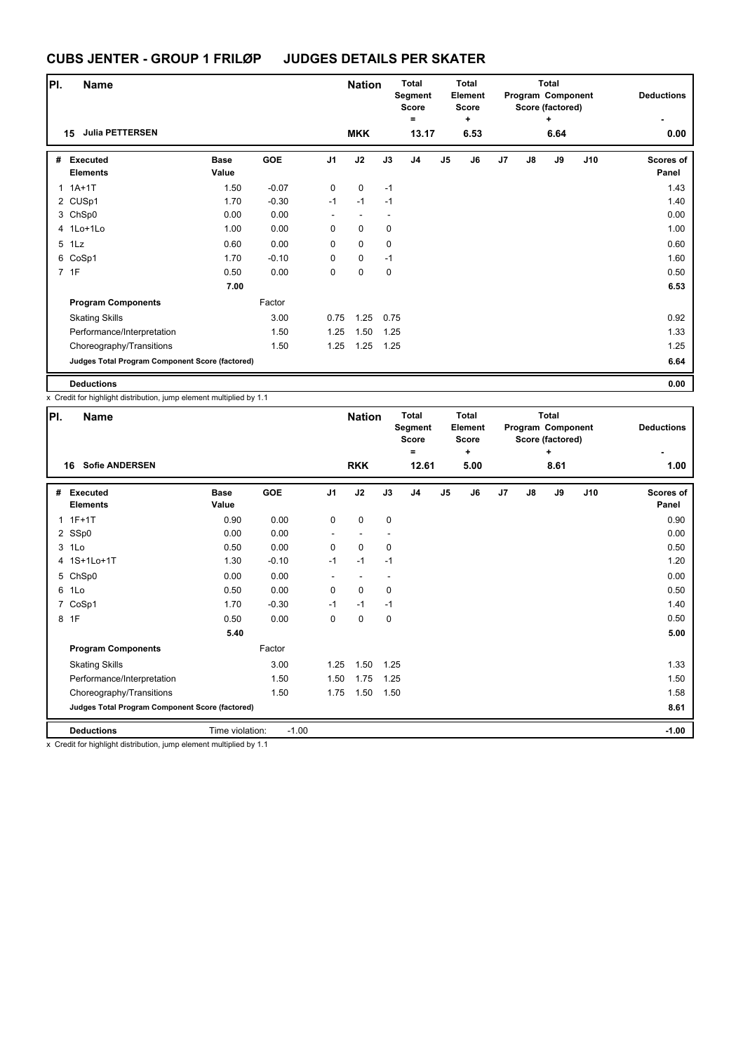| PI. | <b>Name</b>                                     |                      |            |                | <b>Nation</b>            |             | <b>Total</b><br>Segment<br><b>Score</b><br>$\equiv$ |                | <b>Total</b><br>Element<br><b>Score</b><br>÷ |    |    | <b>Total</b><br>Program Component<br>Score (factored)<br>÷ |     | <b>Deductions</b>         |
|-----|-------------------------------------------------|----------------------|------------|----------------|--------------------------|-------------|-----------------------------------------------------|----------------|----------------------------------------------|----|----|------------------------------------------------------------|-----|---------------------------|
|     | <b>Julia PETTERSEN</b><br>15                    |                      |            |                | <b>MKK</b>               |             | 13.17                                               |                | 6.53                                         |    |    | 6.64                                                       |     | 0.00                      |
| #   | Executed<br><b>Elements</b>                     | <b>Base</b><br>Value | <b>GOE</b> | J <sub>1</sub> | J2                       | J3          | J <sub>4</sub>                                      | J <sub>5</sub> | J6                                           | J7 | J8 | J9                                                         | J10 | <b>Scores of</b><br>Panel |
|     | $1.1A+1T$                                       | 1.50                 | $-0.07$    | 0              | $\mathbf 0$              | $-1$        |                                                     |                |                                              |    |    |                                                            |     | 1.43                      |
|     | 2 CUSp1                                         | 1.70                 | $-0.30$    | $-1$           | $-1$                     | $-1$        |                                                     |                |                                              |    |    |                                                            |     | 1.40                      |
|     | 3 ChSp0                                         | 0.00                 | 0.00       | ٠              | $\overline{\phantom{a}}$ |             |                                                     |                |                                              |    |    |                                                            |     | 0.00                      |
|     | 4 1Lo+1Lo                                       | 1.00                 | 0.00       | 0              | $\mathbf 0$              | $\mathbf 0$ |                                                     |                |                                              |    |    |                                                            |     | 1.00                      |
|     | 5 1Lz                                           | 0.60                 | 0.00       | 0              | 0                        | $\mathbf 0$ |                                                     |                |                                              |    |    |                                                            |     | 0.60                      |
|     | 6 CoSp1                                         | 1.70                 | $-0.10$    | 0              | $\mathbf 0$              | $-1$        |                                                     |                |                                              |    |    |                                                            |     | 1.60                      |
|     | 7 1F                                            | 0.50                 | 0.00       | 0              | $\mathbf 0$              | 0           |                                                     |                |                                              |    |    |                                                            |     | 0.50                      |
|     |                                                 | 7.00                 |            |                |                          |             |                                                     |                |                                              |    |    |                                                            |     | 6.53                      |
|     | <b>Program Components</b>                       |                      | Factor     |                |                          |             |                                                     |                |                                              |    |    |                                                            |     |                           |
|     | <b>Skating Skills</b>                           |                      | 3.00       | 0.75           | 1.25                     | 0.75        |                                                     |                |                                              |    |    |                                                            |     | 0.92                      |
|     | Performance/Interpretation                      |                      | 1.50       | 1.25           | 1.50                     | 1.25        |                                                     |                |                                              |    |    |                                                            |     | 1.33                      |
|     | Choreography/Transitions                        |                      | 1.50       | 1.25           | 1.25                     | 1.25        |                                                     |                |                                              |    |    |                                                            |     | 1.25                      |
|     | Judges Total Program Component Score (factored) |                      |            |                |                          |             |                                                     |                |                                              |    |    |                                                            |     | 6.64                      |
|     | <b>Deductions</b>                               |                      |            |                |                          |             |                                                     |                |                                              |    |    |                                                            |     | 0.00                      |

**Deductions**<br>x Credit for highlight distribution, jump element multiplied by 1.1

| <b>Total</b><br><b>Total</b><br><b>Total</b><br><b>Nation</b><br>Program Component<br><b>Deductions</b><br>Segment<br>Element<br><b>Score</b><br><b>Score</b><br>Score (factored)<br>$\equiv$<br>٠<br>÷ |  |            |                | PI.<br><b>Name</b> |                      |                                                                      |       |
|---------------------------------------------------------------------------------------------------------------------------------------------------------------------------------------------------------|--|------------|----------------|--------------------|----------------------|----------------------------------------------------------------------|-------|
| 12.61<br>5.00<br>8.61<br>1.00                                                                                                                                                                           |  | <b>RKK</b> |                |                    |                      | <b>Sofie ANDERSEN</b>                                                | 16    |
| J3<br>J <sub>4</sub><br>J7<br>J9<br>J10<br>J <sub>5</sub><br>J6<br>J8<br><b>Scores of</b><br>Panel                                                                                                      |  | J2         | J <sub>1</sub> | <b>GOE</b>         | <b>Base</b><br>Value | <b>Executed</b><br><b>Elements</b>                                   | #     |
| 0<br>0<br>0.90                                                                                                                                                                                          |  |            | 0              | 0.00               | 0.90                 | $1.1F+1T$                                                            |       |
| 0.00                                                                                                                                                                                                    |  |            |                | 0.00               | 0.00                 | 2 SSp0                                                               |       |
| 0<br>0.50<br>0                                                                                                                                                                                          |  |            | 0              | 0.00               | 0.50                 |                                                                      | 3 1Lo |
| 1.20<br>$-1$                                                                                                                                                                                            |  | $-1$       | $-1$           | $-0.10$            | 1.30                 | 4 1S+1Lo+1T                                                          |       |
| 0.00                                                                                                                                                                                                    |  |            |                | 0.00               | 0.00                 | 5 ChSp0                                                              |       |
| $\mathbf 0$<br>0<br>0.50                                                                                                                                                                                |  |            | 0              | 0.00               | 0.50                 |                                                                      | 6 1Lo |
| $-1$<br>1.40                                                                                                                                                                                            |  | $-1$       | $-1$           | $-0.30$            | 1.70                 | CoSp1                                                                | 7     |
| $\mathbf 0$<br>0.50<br>$\mathbf 0$                                                                                                                                                                      |  |            | 0              | 0.00               | 0.50                 |                                                                      | 8 1F  |
| 5.00                                                                                                                                                                                                    |  |            |                |                    | 5.40                 |                                                                      |       |
|                                                                                                                                                                                                         |  |            |                | Factor             |                      | <b>Program Components</b>                                            |       |
| 1.25<br>1.33                                                                                                                                                                                            |  | 1.50       | 1.25           | 3.00               |                      | <b>Skating Skills</b>                                                |       |
| 1.25<br>1.50                                                                                                                                                                                            |  | 1.75       | 1.50           | 1.50               |                      | Performance/Interpretation                                           |       |
| 1.58<br>1.50                                                                                                                                                                                            |  | 1.50       | 1.75           | 1.50               |                      | Choreography/Transitions                                             |       |
| 8.61                                                                                                                                                                                                    |  |            |                |                    |                      | Judges Total Program Component Score (factored)                      |       |
| $-1.00$                                                                                                                                                                                                 |  |            |                | $-1.00$            | Time violation:      | <b>Deductions</b>                                                    |       |
|                                                                                                                                                                                                         |  |            |                |                    |                      | x. Credit for highlight distribution, jump element multiplied by 1,1 |       |